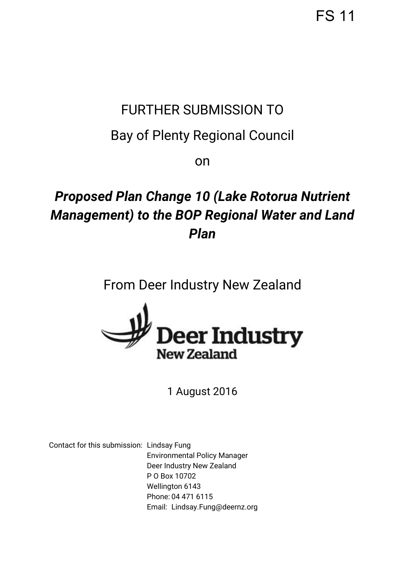FS 11

## FURTHER SUBMISSION TO

## Bay of Plenty Regional Council

on

# *Proposed Plan Change 10 (Lake Rotorua Nutrient Management) to the BOP Regional Water and Land Plan*

### From Deer Industry New Zealand



### 1 August 2016

Contact for this submission: Lindsay Fung Environmental Policy Manager Deer Industry New Zealand P O Box 10702 Wellington 6143 Phone: 04 471 6115 Email: [Lindsay.Fung@deernz.org](mailto:Lindsay.Fung@deernz.org)